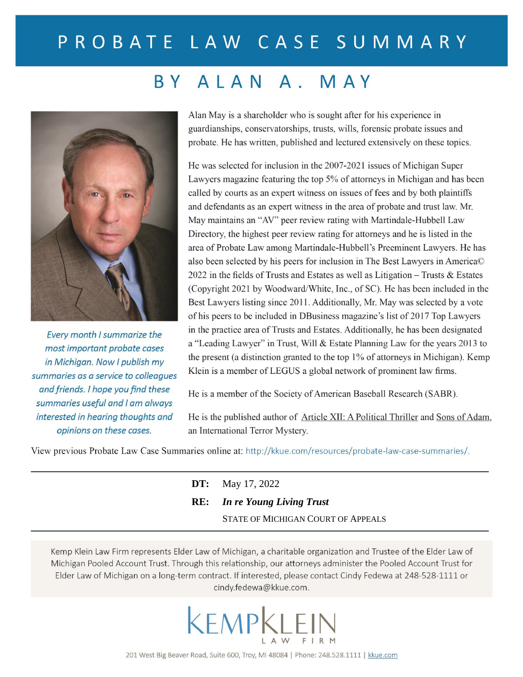# PROBATE LAW CASE SUMMARY

## BY ALAN A. MAY



Every month I summarize the most important probate cases in Michigan. Now I publish my summaries as a service to colleagues and friends. I hope you find these summaries useful and I am always interested in hearing thoughts and opinions on these cases.

Alan May is a shareholder who is sought after for his experience in guardianships, conservatorships, trusts, wills, forensic probate issues and probate. He has written, published and lectured extensively on these topics.

He was selected for inclusion in the 2007-2021 issues of Michigan Super Lawyers magazine featuring the top 5% of attorneys in Michigan and has been called by courts as an expert witness on issues of fees and by both plaintiffs and defendants as an expert witness in the area of probate and trust law. Mr. May maintains an "AV" peer review rating with Martindale-Hubbell Law Directory, the highest peer review rating for attorneys and he is listed in the area of Probate Law among Martindale-Hubbell's Preeminent Lawyers. He has also been selected by his peers for inclusion in The Best Lawyers in America© 2022 in the fields of Trusts and Estates as well as Litigation  $-$  Trusts & Estates (Copyright 2021 by Woodward/White, Inc., of SC). He has been included in the Best Lawyers listing since 2011. Additionally, Mr. May was selected by a vote of his peers to be included in DBusiness magazine's list of 2017 Top Lawyers in the practice area of Trusts and Estates. Additionally, he has been designated a "Leading Lawyer" in Trust, Will & Estate Planning Law for the years 2013 to the present (a distinction granted to the top 1% of attorneys in Michigan). Kemp Klein is a member of LEGUS a global network of prominent law firms.

He is a member of the Society of American Baseball Research (SABR).

He is the published author of Article XII: A Political Thriller and Sons of Adam, an International Terror Mystery.

View previous Probate Law Case Summaries online at: http://kkue.com/resources/probate-law-case-summaries/.

| <b>DT:</b> May 17, 2022             |
|-------------------------------------|
| <b>RE:</b> In re Young Living Trust |
| STATE OF MICHIGAN COURT OF APPEALS  |

Kemp Klein Law Firm represents Elder Law of Michigan, a charitable organization and Trustee of the Elder Law of Michigan Pooled Account Trust. Through this relationship, our attorneys administer the Pooled Account Trust for Elder Law of Michigan on a long-term contract. If interested, please contact Cindy Fedewa at 248-528-1111 or cindy.fedewa@kkue.com.

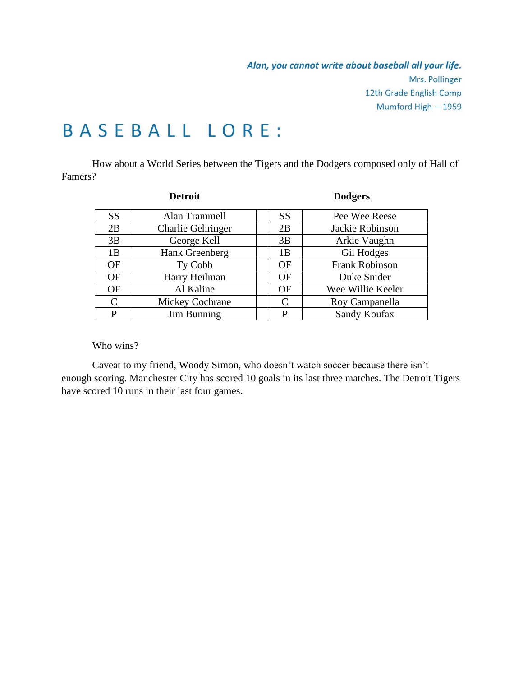# **BASEBALL LORE:**

How about a World Series between the Tigers and the Dodgers composed only of Hall of Famers?

| <b>Detroit</b> |                          | <b>Dodgers</b> |                       |
|----------------|--------------------------|----------------|-----------------------|
| <b>SS</b>      | Alan Trammell            | <b>SS</b>      | Pee Wee Reese         |
| 2B             | <b>Charlie Gehringer</b> | 2B             | Jackie Robinson       |
| 3B             | George Kell              | 3B             | Arkie Vaughn          |
| 1B             | Hank Greenberg           | 1B             | Gil Hodges            |
| <b>OF</b>      | Ty Cobb                  | OF             | <b>Frank Robinson</b> |
| <b>OF</b>      | Harry Heilman            | OF             | Duke Snider           |
| OF             | Al Kaline                | <b>OF</b>      | Wee Willie Keeler     |
| $\mathcal{C}$  | Mickey Cochrane          | C              | Roy Campanella        |
| P              | Jim Bunning              | P              | Sandy Koufax          |

Who wins?

Caveat to my friend, Woody Simon, who doesn't watch soccer because there isn't enough scoring. Manchester City has scored 10 goals in its last three matches. The Detroit Tigers have scored 10 runs in their last four games.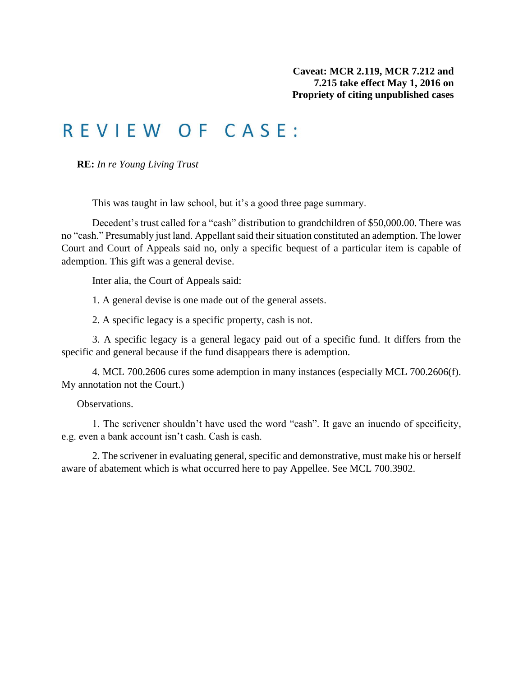## REVIEW OF CASE:

**RE:** *In re Young Living Trust*

This was taught in law school, but it's a good three page summary.

Decedent's trust called for a "cash" distribution to grandchildren of \$50,000.00. There was no "cash." Presumably just land. Appellant said their situation constituted an ademption. The lower Court and Court of Appeals said no, only a specific bequest of a particular item is capable of ademption. This gift was a general devise.

Inter alia, the Court of Appeals said:

1. A general devise is one made out of the general assets.

2. A specific legacy is a specific property, cash is not.

3. A specific legacy is a general legacy paid out of a specific fund. It differs from the specific and general because if the fund disappears there is ademption.

4. MCL 700.2606 cures some ademption in many instances (especially MCL 700.2606(f). My annotation not the Court.)

Observations.

1. The scrivener shouldn't have used the word "cash". It gave an inuendo of specificity, e.g. even a bank account isn't cash. Cash is cash.

2. The scrivener in evaluating general, specific and demonstrative, must make his or herself aware of abatement which is what occurred here to pay Appellee. See MCL 700.3902.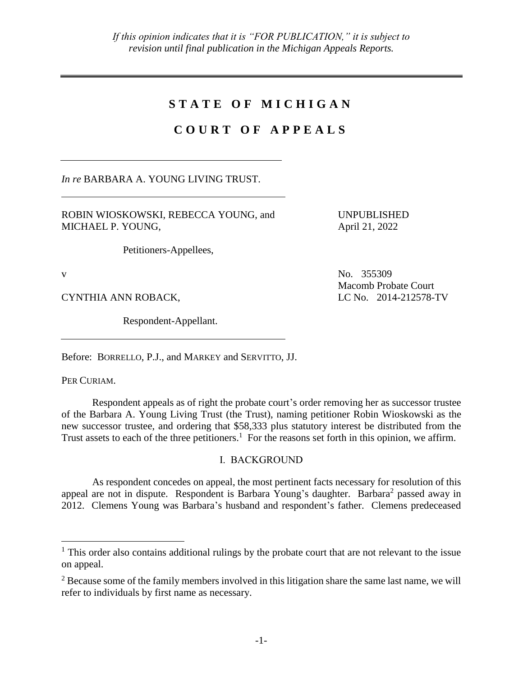### **S T A T E O F M I C H I G A N**

### **C O U R T O F A P P E A L S**

*In re* BARBARA A. YOUNG LIVING TRUST.

ROBIN WIOSKOWSKI, REBECCA YOUNG, and MICHAEL P. YOUNG,

Petitioners-Appellees,

v No. 355309

 $\overline{a}$ 

CYNTHIA ANN ROBACK, LC No. 2014-212578-TV

Respondent-Appellant.

Before: BORRELLO, P.J., and MARKEY and SERVITTO, JJ.

PER CURIAM.

Respondent appeals as of right the probate court's order removing her as successor trustee of the Barbara A. Young Living Trust (the Trust), naming petitioner Robin Wioskowski as the new successor trustee, and ordering that \$58,333 plus statutory interest be distributed from the Trust assets to each of the three petitioners.<sup>1</sup> For the reasons set forth in this opinion, we affirm.

### I. BACKGROUND

As respondent concedes on appeal, the most pertinent facts necessary for resolution of this appeal are not in dispute. Respondent is Barbara Young's daughter. Barbara<sup>2</sup> passed away in 2012. Clemens Young was Barbara's husband and respondent's father. Clemens predeceased

UNPUBLISHED April 21, 2022

Macomb Probate Court

<sup>&</sup>lt;sup>1</sup> This order also contains additional rulings by the probate court that are not relevant to the issue on appeal.

<sup>&</sup>lt;sup>2</sup> Because some of the family members involved in this litigation share the same last name, we will refer to individuals by first name as necessary.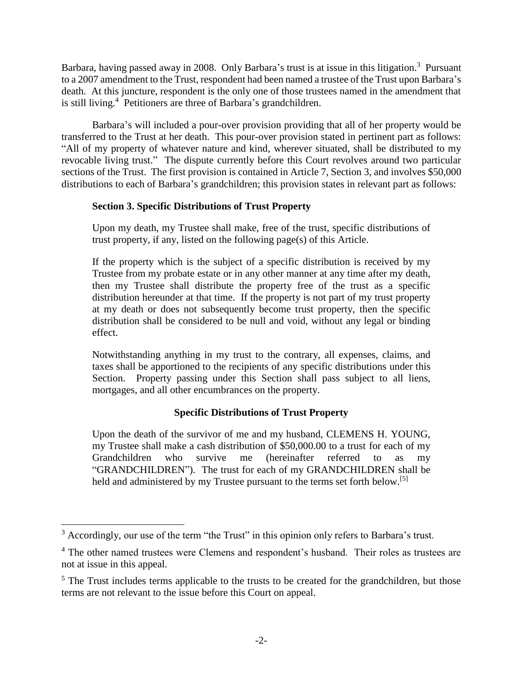Barbara, having passed away in 2008. Only Barbara's trust is at issue in this litigation.<sup>3</sup> Pursuant to a 2007 amendment to the Trust, respondent had been named a trustee of the Trust upon Barbara's death. At this juncture, respondent is the only one of those trustees named in the amendment that is still living.<sup>4</sup> Petitioners are three of Barbara's grandchildren.

Barbara's will included a pour-over provision providing that all of her property would be transferred to the Trust at her death. This pour-over provision stated in pertinent part as follows: "All of my property of whatever nature and kind, wherever situated, shall be distributed to my revocable living trust." The dispute currently before this Court revolves around two particular sections of the Trust. The first provision is contained in Article 7, Section 3, and involves \$50,000 distributions to each of Barbara's grandchildren; this provision states in relevant part as follows:

### **Section 3. Specific Distributions of Trust Property**

Upon my death, my Trustee shall make, free of the trust, specific distributions of trust property, if any, listed on the following page(s) of this Article.

If the property which is the subject of a specific distribution is received by my Trustee from my probate estate or in any other manner at any time after my death, then my Trustee shall distribute the property free of the trust as a specific distribution hereunder at that time. If the property is not part of my trust property at my death or does not subsequently become trust property, then the specific distribution shall be considered to be null and void, without any legal or binding effect.

Notwithstanding anything in my trust to the contrary, all expenses, claims, and taxes shall be apportioned to the recipients of any specific distributions under this Section. Property passing under this Section shall pass subject to all liens, mortgages, and all other encumbrances on the property.

### **Specific Distributions of Trust Property**

Upon the death of the survivor of me and my husband, CLEMENS H. YOUNG, my Trustee shall make a cash distribution of \$50,000.00 to a trust for each of my Grandchildren who survive me (hereinafter referred to as my "GRANDCHILDREN"). The trust for each of my GRANDCHILDREN shall be held and administered by my Trustee pursuant to the terms set forth below.<sup>[5]</sup>

 $\overline{a}$ 

 $3$  Accordingly, our use of the term "the Trust" in this opinion only refers to Barbara's trust.

<sup>&</sup>lt;sup>4</sup> The other named trustees were Clemens and respondent's husband. Their roles as trustees are not at issue in this appeal.

<sup>&</sup>lt;sup>5</sup> The Trust includes terms applicable to the trusts to be created for the grandchildren, but those terms are not relevant to the issue before this Court on appeal.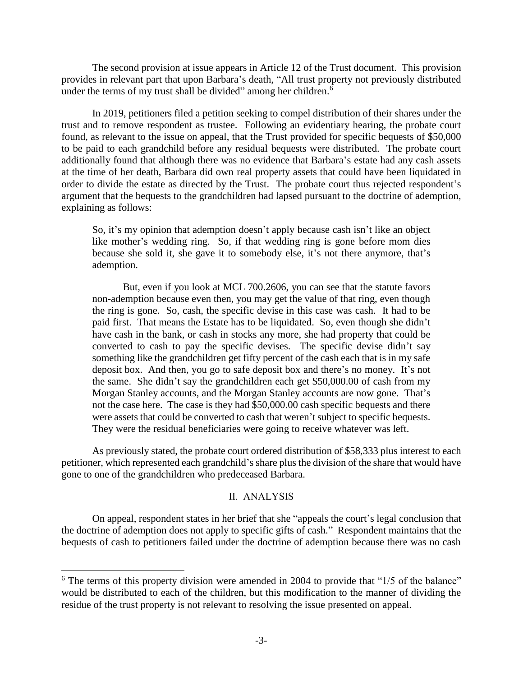The second provision at issue appears in Article 12 of the Trust document. This provision provides in relevant part that upon Barbara's death, "All trust property not previously distributed under the terms of my trust shall be divided" among her children. $6$ 

In 2019, petitioners filed a petition seeking to compel distribution of their shares under the trust and to remove respondent as trustee. Following an evidentiary hearing, the probate court found, as relevant to the issue on appeal, that the Trust provided for specific bequests of \$50,000 to be paid to each grandchild before any residual bequests were distributed. The probate court additionally found that although there was no evidence that Barbara's estate had any cash assets at the time of her death, Barbara did own real property assets that could have been liquidated in order to divide the estate as directed by the Trust. The probate court thus rejected respondent's argument that the bequests to the grandchildren had lapsed pursuant to the doctrine of ademption, explaining as follows:

So, it's my opinion that ademption doesn't apply because cash isn't like an object like mother's wedding ring. So, if that wedding ring is gone before mom dies because she sold it, she gave it to somebody else, it's not there anymore, that's ademption.

But, even if you look at MCL 700.2606, you can see that the statute favors non-ademption because even then, you may get the value of that ring, even though the ring is gone. So, cash, the specific devise in this case was cash. It had to be paid first. That means the Estate has to be liquidated. So, even though she didn't have cash in the bank, or cash in stocks any more, she had property that could be converted to cash to pay the specific devises. The specific devise didn't say something like the grandchildren get fifty percent of the cash each that is in my safe deposit box. And then, you go to safe deposit box and there's no money. It's not the same. She didn't say the grandchildren each get \$50,000.00 of cash from my Morgan Stanley accounts, and the Morgan Stanley accounts are now gone. That's not the case here. The case is they had \$50,000.00 cash specific bequests and there were assets that could be converted to cash that weren't subject to specific bequests. They were the residual beneficiaries were going to receive whatever was left.

As previously stated, the probate court ordered distribution of \$58,333 plus interest to each petitioner, which represented each grandchild's share plus the division of the share that would have gone to one of the grandchildren who predeceased Barbara.

#### II. ANALYSIS

On appeal, respondent states in her brief that she "appeals the court's legal conclusion that the doctrine of ademption does not apply to specific gifts of cash." Respondent maintains that the bequests of cash to petitioners failed under the doctrine of ademption because there was no cash

 $\overline{a}$ 

 $6$  The terms of this property division were amended in 2004 to provide that " $1/5$  of the balance" would be distributed to each of the children, but this modification to the manner of dividing the residue of the trust property is not relevant to resolving the issue presented on appeal.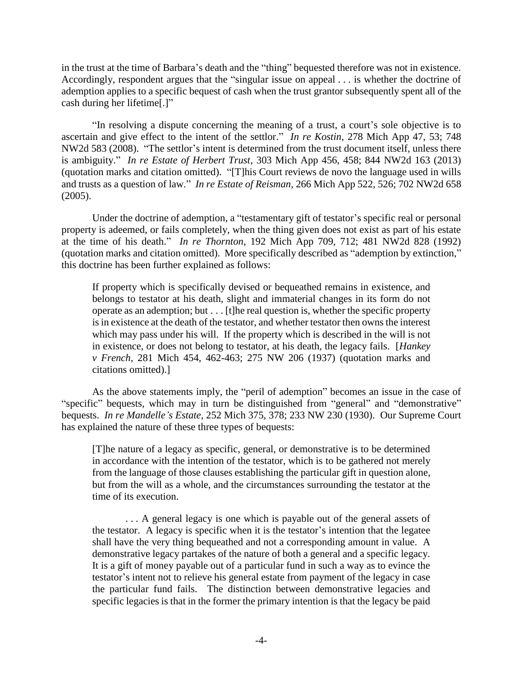in the trust at the time of Barbara's death and the "thing" bequested therefore was not in existence. Accordingly, respondent argues that the "singular issue on appeal . . . is whether the doctrine of ademption applies to a specific bequest of cash when the trust grantor subsequently spent all of the cash during her lifetime[.]"

"In resolving a dispute concerning the meaning of a trust, a court's sole objective is to ascertain and give effect to the intent of the settlor." *In re Kostin*, 278 Mich App 47, 53; 748 NW2d 583 (2008). "The settlor's intent is determined from the trust document itself, unless there is ambiguity." *In re Estate of Herbert Trust*, 303 Mich App 456, 458; 844 NW2d 163 (2013) (quotation marks and citation omitted). "[T]his Court reviews de novo the language used in wills and trusts as a question of law*.*" *In re Estate of Reisman*, 266 Mich App 522, 526; 702 NW2d 658 (2005).

Under the doctrine of ademption, a "testamentary gift of testator's specific real or personal property is adeemed, or fails completely, when the thing given does not exist as part of his estate at the time of his death." *In re Thornton*, 192 Mich App 709, 712; 481 NW2d 828 (1992) (quotation marks and citation omitted). More specifically described as "ademption by extinction," this doctrine has been further explained as follows:

If property which is specifically devised or bequeathed remains in existence, and belongs to testator at his death, slight and immaterial changes in its form do not operate as an ademption; but . . . [t]he real question is, whether the specific property is in existence at the death of the testator, and whether testator then owns the interest which may pass under his will. If the property which is described in the will is not in existence, or does not belong to testator, at his death, the legacy fails. [*Hankey v French*, 281 Mich 454, 462-463; 275 NW 206 (1937) (quotation marks and citations omitted).]

As the above statements imply, the "peril of ademption" becomes an issue in the case of "specific" bequests, which may in turn be distinguished from "general" and "demonstrative" bequests. *In re Mandelle's Estate*, 252 Mich 375, 378; 233 NW 230 (1930). Our Supreme Court has explained the nature of these three types of bequests:

[T]he nature of a legacy as specific, general, or demonstrative is to be determined in accordance with the intention of the testator, which is to be gathered not merely from the language of those clauses establishing the particular gift in question alone, but from the will as a whole, and the circumstances surrounding the testator at the time of its execution.

... A general legacy is one which is payable out of the general assets of the testator. A legacy is specific when it is the testator's intention that the legatee shall have the very thing bequeathed and not a corresponding amount in value. A demonstrative legacy partakes of the nature of both a general and a specific legacy. It is a gift of money payable out of a particular fund in such a way as to evince the testator's intent not to relieve his general estate from payment of the legacy in case the particular fund fails. The distinction between demonstrative legacies and specific legacies is that in the former the primary intention is that the legacy be paid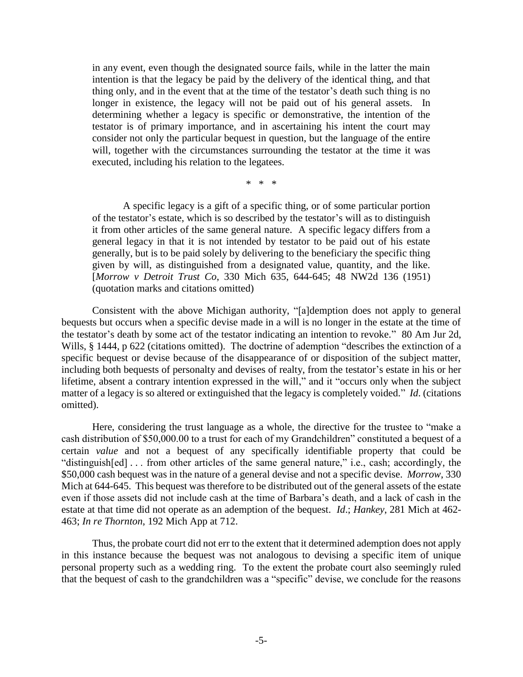in any event, even though the designated source fails, while in the latter the main intention is that the legacy be paid by the delivery of the identical thing, and that thing only, and in the event that at the time of the testator's death such thing is no longer in existence, the legacy will not be paid out of his general assets. In determining whether a legacy is specific or demonstrative, the intention of the testator is of primary importance, and in ascertaining his intent the court may consider not only the particular bequest in question, but the language of the entire will, together with the circumstances surrounding the testator at the time it was executed, including his relation to the legatees.

\* \* \*

A specific legacy is a gift of a specific thing, or of some particular portion of the testator's estate, which is so described by the testator's will as to distinguish it from other articles of the same general nature. A specific legacy differs from a general legacy in that it is not intended by testator to be paid out of his estate generally, but is to be paid solely by delivering to the beneficiary the specific thing given by will, as distinguished from a designated value, quantity, and the like. [*Morrow v Detroit Trust Co*, 330 Mich 635, 644-645; 48 NW2d 136 (1951) (quotation marks and citations omitted)

Consistent with the above Michigan authority, "[a]demption does not apply to general bequests but occurs when a specific devise made in a will is no longer in the estate at the time of the testator's death by some act of the testator indicating an intention to revoke." 80 Am Jur 2d, Wills, § 1444, p 622 (citations omitted). The doctrine of ademption "describes the extinction of a specific bequest or devise because of the disappearance of or disposition of the subject matter, including both bequests of personalty and devises of realty, from the testator's estate in his or her lifetime, absent a contrary intention expressed in the will," and it "occurs only when the subject matter of a legacy is so altered or extinguished that the legacy is completely voided." *Id*. (citations omitted).

Here, considering the trust language as a whole, the directive for the trustee to "make a cash distribution of \$50,000.00 to a trust for each of my Grandchildren" constituted a bequest of a certain *value* and not a bequest of any specifically identifiable property that could be "distinguish[ed] . . . from other articles of the same general nature," i.e., cash; accordingly, the \$50,000 cash bequest was in the nature of a general devise and not a specific devise. *Morrow*, 330 Mich at 644-645. This bequest was therefore to be distributed out of the general assets of the estate even if those assets did not include cash at the time of Barbara's death, and a lack of cash in the estate at that time did not operate as an ademption of the bequest. *Id*.; *Hankey*, 281 Mich at 462- 463; *In re Thornton*, 192 Mich App at 712.

Thus, the probate court did not err to the extent that it determined ademption does not apply in this instance because the bequest was not analogous to devising a specific item of unique personal property such as a wedding ring. To the extent the probate court also seemingly ruled that the bequest of cash to the grandchildren was a "specific" devise, we conclude for the reasons